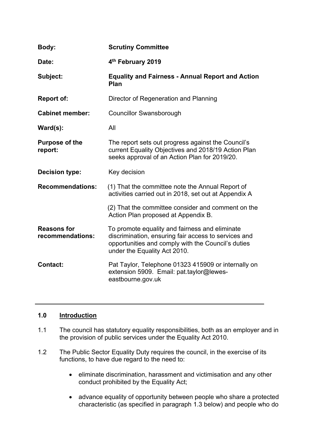| Body:                                  | <b>Scrutiny Committee</b>                                                                                                                                                                    |
|----------------------------------------|----------------------------------------------------------------------------------------------------------------------------------------------------------------------------------------------|
| Date:                                  | 4th February 2019                                                                                                                                                                            |
| Subject:                               | <b>Equality and Fairness - Annual Report and Action</b><br>Plan                                                                                                                              |
| <b>Report of:</b>                      | Director of Regeneration and Planning                                                                                                                                                        |
| <b>Cabinet member:</b>                 | <b>Councillor Swansborough</b>                                                                                                                                                               |
| Ward(s):                               | All                                                                                                                                                                                          |
| <b>Purpose of the</b><br>report:       | The report sets out progress against the Council's<br>current Equality Objectives and 2018/19 Action Plan<br>seeks approval of an Action Plan for 2019/20.                                   |
| <b>Decision type:</b>                  | Key decision                                                                                                                                                                                 |
| <b>Recommendations:</b>                | (1) That the committee note the Annual Report of<br>activities carried out in 2018, set out at Appendix A                                                                                    |
|                                        | (2) That the committee consider and comment on the<br>Action Plan proposed at Appendix B.                                                                                                    |
| <b>Reasons for</b><br>recommendations: | To promote equality and fairness and eliminate<br>discrimination, ensuring fair access to services and<br>opportunities and comply with the Council's duties<br>under the Equality Act 2010. |
| <b>Contact:</b>                        | Pat Taylor, Telephone 01323 415909 or internally on<br>extension 5909. Email: pat.taylor@lewes-<br>eastbourne.gov.uk                                                                         |

# **1.0 Introduction**

- 1.1 The council has statutory equality responsibilities, both as an employer and in the provision of public services under the Equality Act 2010.
- 1.2 The Public Sector Equality Duty requires the council, in the exercise of its functions, to have due regard to the need to:
	- eliminate discrimination, harassment and victimisation and any other conduct prohibited by the Equality Act;
	- advance equality of opportunity between people who share a protected characteristic (as specified in paragraph 1.3 below) and people who do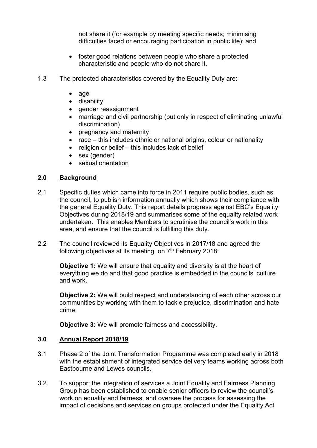not share it (for example by meeting specific needs; minimising difficulties faced or encouraging participation in public life); and

- foster good relations between people who share a protected characteristic and people who do not share it.
- 1.3 The protected characteristics covered by the Equality Duty are:
	- age
	- disability
	- gender reassignment
	- marriage and civil partnership (but only in respect of eliminating unlawful discrimination)
	- pregnancy and maternity
	- race this includes ethnic or national origins, colour or nationality
	- $\bullet$  religion or belief this includes lack of belief
	- sex (gender)
	- sexual orientation

# **2.0 Background**

- 2.1 Specific duties which came into force in 2011 require public bodies, such as the council, to publish information annually which shows their compliance with the general Equality Duty. This report details progress against EBC's Equality Objectives during 2018/19 and summarises some of the equality related work undertaken. This enables Members to scrutinise the council's work in this area, and ensure that the council is fulfilling this duty.
- 2.2 The council reviewed its Equality Objectives in 2017/18 and agreed the following objectives at its meeting on 7<sup>th</sup> February 2018:

**Objective 1:** We will ensure that equality and diversity is at the heart of everything we do and that good practice is embedded in the councils' culture and work.

**Objective 2:** We will build respect and understanding of each other across our communities by working with them to tackle prejudice, discrimination and hate crime.

**Objective 3:** We will promote fairness and accessibility.

# **3.0 Annual Report 2018/19**

- 3.1 Phase 2 of the Joint Transformation Programme was completed early in 2018 with the establishment of integrated service delivery teams working across both Eastbourne and Lewes councils.
- 3.2 To support the integration of services a Joint Equality and Fairness Planning Group has been established to enable senior officers to review the council's work on equality and fairness, and oversee the process for assessing the impact of decisions and services on groups protected under the Equality Act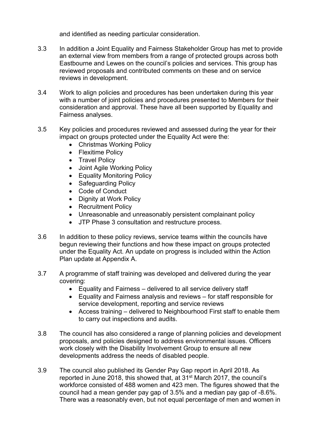and identified as needing particular consideration.

- 3.3 In addition a Joint Equality and Fairness Stakeholder Group has met to provide an external view from members from a range of protected groups across both Eastbourne and Lewes on the council's policies and services. This group has reviewed proposals and contributed comments on these and on service reviews in development.
- 3.4 Work to align policies and procedures has been undertaken during this year with a number of joint policies and procedures presented to Members for their consideration and approval. These have all been supported by Equality and Fairness analyses.
- 3.5 Key policies and procedures reviewed and assessed during the year for their impact on groups protected under the Equality Act were the:
	- Christmas Working Policy
	- Flexitime Policy
	- Travel Policy
	- Joint Agile Working Policy
	- Equality Monitoring Policy
	- Safeguarding Policy
	- Code of Conduct
	- Dignity at Work Policy
	- Recruitment Policy
	- Unreasonable and unreasonably persistent complainant policy
	- JTP Phase 3 consultation and restructure process.
- 3.6 In addition to these policy reviews, service teams within the councils have begun reviewing their functions and how these impact on groups protected under the Equality Act. An update on progress is included within the Action Plan update at Appendix A.
- 3.7 A programme of staff training was developed and delivered during the year covering:
	- Equality and Fairness delivered to all service delivery staff
	- Equality and Fairness analysis and reviews for staff responsible for service development, reporting and service reviews
	- Access training delivered to Neighbourhood First staff to enable them to carry out inspections and audits.
- 3.8 The council has also considered a range of planning policies and development proposals, and policies designed to address environmental issues. Officers work closely with the Disability Involvement Group to ensure all new developments address the needs of disabled people.
- 3.9 The council also published its Gender Pay Gap report in April 2018. As reported in June 2018, this showed that, at 31st March 2017, the council's workforce consisted of 488 women and 423 men. The figures showed that the council had a mean gender pay gap of 3.5% and a median pay gap of -8.6%. There was a reasonably even, but not equal percentage of men and women in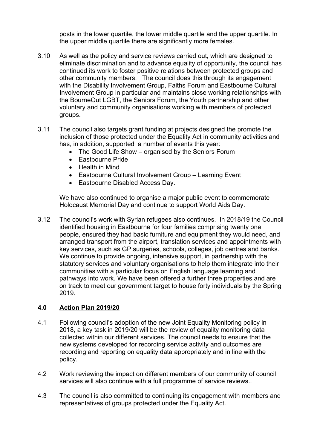posts in the lower quartile, the lower middle quartile and the upper quartile. In the upper middle quartile there are significantly more females.

- 3.10 As well as the policy and service reviews carried out, which are designed to eliminate discrimination and to advance equality of opportunity, the council has continued its work to foster positive relations between protected groups and other community members. The council does this through its engagement with the Disability Involvement Group, Faiths Forum and Eastbourne Cultural Involvement Group in particular and maintains close working relationships with the BourneOut LGBT, the Seniors Forum, the Youth partnership and other voluntary and community organisations working with members of protected groups.
- 3.11 The council also targets grant funding at projects designed the promote the inclusion of those protected under the Equality Act in community activities and has, in addition, supported a number of events this year:
	- The Good Life Show organised by the Seniors Forum
	- Eastbourne Pride
	- Health in Mind
	- Eastbourne Cultural Involvement Group Learning Event
	- Eastbourne Disabled Access Day.

We have also continued to organise a major public event to commemorate Holocaust Memorial Day and continue to support World Aids Day.

3.12 The council's work with Syrian refugees also continues. In 2018/19 the Council identified housing in Eastbourne for four families comprising twenty one people, ensured they had basic furniture and equipment they would need, and arranged transport from the airport, translation services and appointments with key services, such as GP surgeries, schools, colleges, job centres and banks. We continue to provide ongoing, intensive support, in partnership with the statutory services and voluntary organisations to help them integrate into their communities with a particular focus on English language learning and pathways into work. We have been offered a further three properties and are on track to meet our government target to house forty individuals by the Spring 2019.

## **4.0 Action Plan 2019/20**

- 4.1 Following council's adoption of the new Joint Equality Monitoring policy in 2018, a key task in 2019/20 will be the review of equality monitoring data collected within our different services. The council needs to ensure that the new systems developed for recording service activity and outcomes are recording and reporting on equality data appropriately and in line with the policy.
- 4.2 Work reviewing the impact on different members of our community of council services will also continue with a full programme of service reviews..
- 4.3 The council is also committed to continuing its engagement with members and representatives of groups protected under the Equality Act.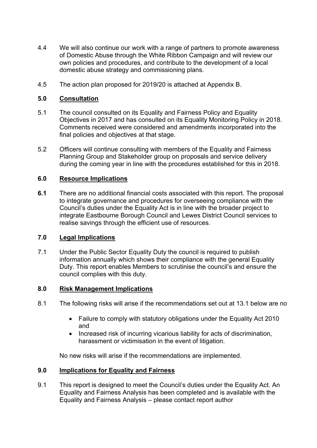- 4.4 We will also continue our work with a range of partners to promote awareness of Domestic Abuse through the White Ribbon Campaign and will review our own policies and procedures, and contribute to the development of a local domestic abuse strategy and commissioning plans.
- 4.5 The action plan proposed for 2019/20 is attached at Appendix B.

## **5.0 Consultation**

- 5.1 The council consulted on its Equality and Fairness Policy and Equality Objectives in 2017 and has consulted on its Equality Monitoring Policy in 2018. Comments received were considered and amendments incorporated into the final policies and objectives at that stage.
- 5.2 Officers will continue consulting with members of the Equality and Fairness Planning Group and Stakeholder group on proposals and service delivery during the coming year in line with the procedures established for this in 2018.

## **6.0 Resource Implications**

**6.1** There are no additional financial costs associated with this report. The proposal to integrate governance and procedures for overseeing compliance with the Council's duties under the Equality Act is in line with the broader project to integrate Eastbourne Borough Council and Lewes District Council services to realise savings through the efficient use of resources.

## **7.0 Legal Implications**

7.1 Under the Public Sector Equality Duty the council is required to publish information annually which shows their compliance with the general Equality Duty. This report enables Members to scrutinise the council's and ensure the council complies with this duty.

## **8.0 Risk Management Implications**

- 8.1 The following risks will arise if the recommendations set out at 13.1 below are no
	- Failure to comply with statutory obligations under the Equality Act 2010 and
	- Increased risk of incurring vicarious liability for acts of discrimination, harassment or victimisation in the event of litigation.

No new risks will arise if the recommendations are implemented.

## **9.0 Implications for Equality and Fairness**

9.1 This report is designed to meet the Council's duties under the Equality Act. An Equality and Fairness Analysis has been completed and is available with the Equality and Fairness Analysis – please contact report author